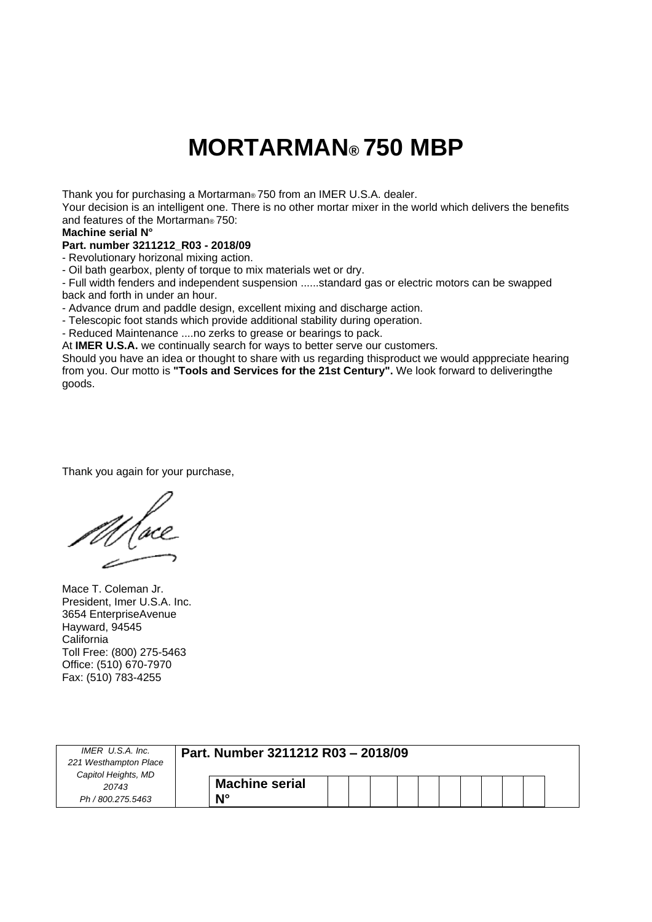### **MORTARMAN® 750 MBP**

Thank you for purchasing a Mortarman® 750 from an IMER U.S.A. dealer.

Your decision is an intelligent one. There is no other mortar mixer in the world which delivers the benefits and features of the Mortarman® 750:

#### **Machine serial N°**

#### **Part. number 3211212\_R03 - 2018/09**

- Revolutionary horizonal mixing action.

- Oil bath gearbox, plenty of torque to mix materials wet or dry.

- Full width fenders and independent suspension ......standard gas or electric motors can be swapped back and forth in under an hour.

- Advance drum and paddle design, excellent mixing and discharge action.

- Telescopic foot stands which provide additional stability during operation.

- Reduced Maintenance ....no zerks to grease or bearings to pack.

At **IMER U.S.A.** we continually search for ways to better serve our customers.

Should you have an idea or thought to share with us regarding thisproduct we would apppreciate hearing from you. Our motto is **"Tools and Services for the 21st Century".** We look forward to deliveringthe goods.

Thank you again for your purchase,

Mace T. Coleman Jr. President, Imer U.S.A. Inc. 3654 EnterpriseAvenue Hayward, 94545 **California** Toll Free: (800) 275-5463 Office: (510) 670-7970 Fax: (510) 783-4255

| IMER U.S.A. Inc.<br>221 Westhampton Place<br>Capitol Heights, MD | Part. Number 3211212 R03 - 2018/09 |
|------------------------------------------------------------------|------------------------------------|
| 20743                                                            | <b>Machine serial</b>              |
| Ph / 800.275.5463                                                | N۰                                 |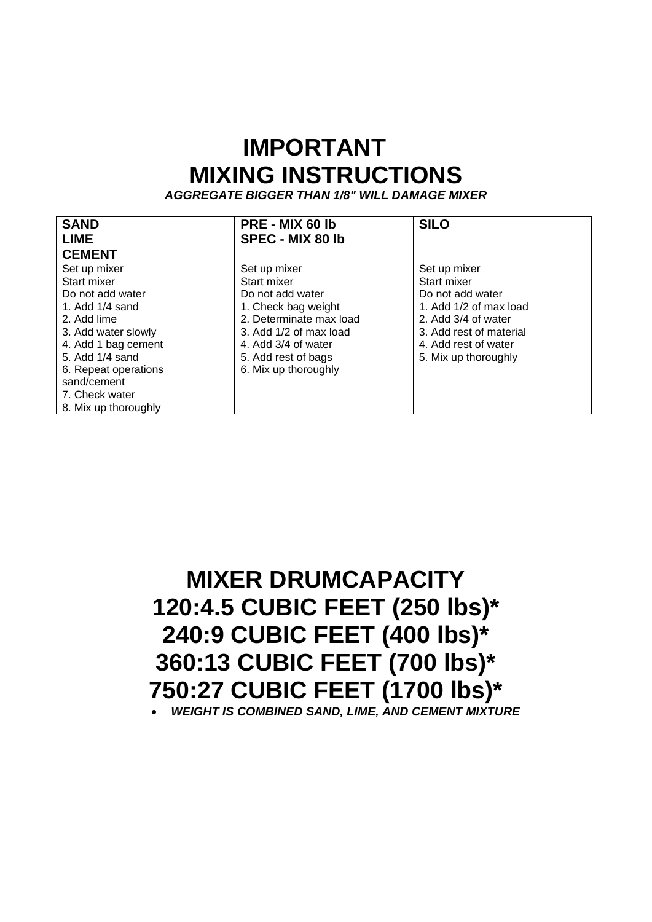### **IMPORTANT MIXING INSTRUCTIONS**

*AGGREGATE BIGGER THAN 1/8" WILL DAMAGE MIXER*

| <b>SAND</b>          | PRE - MIX 60 lb         | <b>SILO</b>             |
|----------------------|-------------------------|-------------------------|
| <b>LIME</b>          | <b>SPEC - MIX 80 lb</b> |                         |
| <b>CEMENT</b>        |                         |                         |
| Set up mixer         | Set up mixer            | Set up mixer            |
| Start mixer          | Start mixer             | Start mixer             |
| Do not add water     | Do not add water        | Do not add water        |
| 1. Add $1/4$ sand    | 1. Check bag weight     | 1. Add 1/2 of max load  |
| 2. Add lime          | 2. Determinate max load | 2. Add 3/4 of water     |
| 3. Add water slowly  | 3. Add 1/2 of max load  | 3. Add rest of material |
| 4. Add 1 bag cement  | 4. Add 3/4 of water     | 4. Add rest of water    |
| 5. Add 1/4 sand      | 5. Add rest of bags     | 5. Mix up thoroughly    |
| 6. Repeat operations | 6. Mix up thoroughly    |                         |
| sand/cement          |                         |                         |
| 7. Check water       |                         |                         |
| 8. Mix up thoroughly |                         |                         |

**MIXER DRUMCAPACITY 120:4.5 CUBIC FEET (250 lbs)\* 240:9 CUBIC FEET (400 lbs)\* 360:13 CUBIC FEET (700 lbs)\* 750:27 CUBIC FEET (1700 lbs)\*** *WEIGHT IS COMBINED SAND, LIME, AND CEMENT MIXTURE*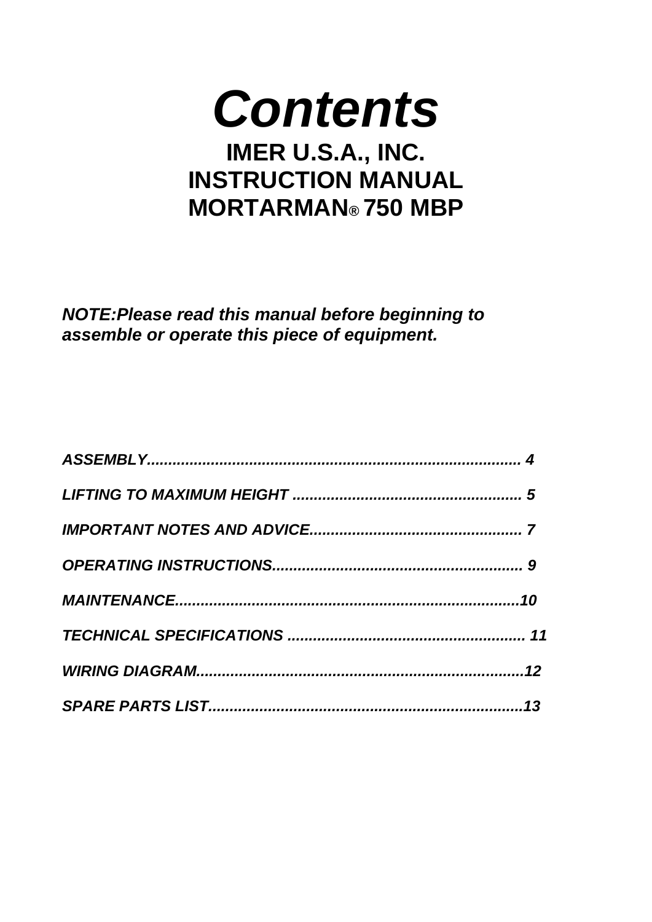# *Contents* **IMER U.S.A., INC. INSTRUCTION MANUAL MORTARMAN® 750 MBP**

*NOTE:Please read this manual before beginning to assemble or operate this piece of equipment.*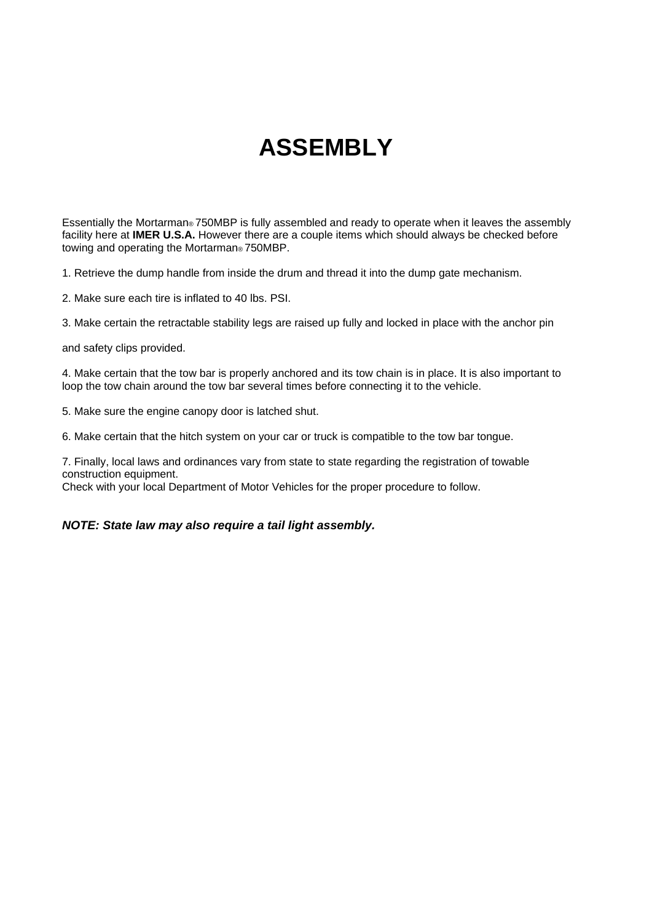## **ASSEMBLY**

Essentially the Mortarman® 750MBP is fully assembled and ready to operate when it leaves the assembly facility here at **IMER U.S.A.** However there are a couple items which should always be checked before towing and operating the Mortarman® 750MBP.

1. Retrieve the dump handle from inside the drum and thread it into the dump gate mechanism.

2. Make sure each tire is inflated to 40 lbs. PSI.

3. Make certain the retractable stability legs are raised up fully and locked in place with the anchor pin

and safety clips provided.

4. Make certain that the tow bar is properly anchored and its tow chain is in place. It is also important to loop the tow chain around the tow bar several times before connecting it to the vehicle.

5. Make sure the engine canopy door is latched shut.

6. Make certain that the hitch system on your car or truck is compatible to the tow bar tongue.

7. Finally, local laws and ordinances vary from state to state regarding the registration of towable construction equipment.

Check with your local Department of Motor Vehicles for the proper procedure to follow.

*NOTE: State law may also require a tail light assembly.*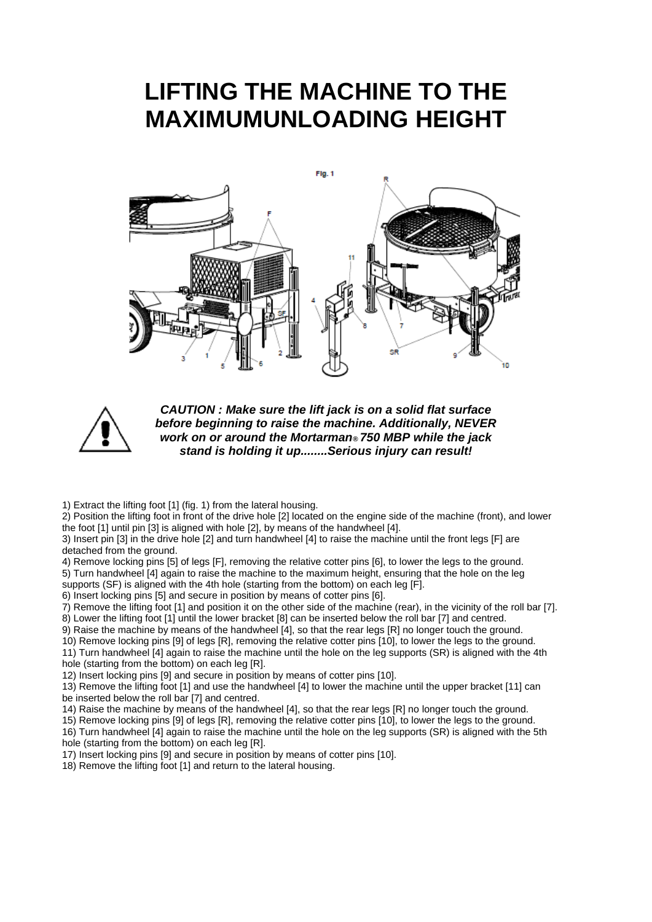### **LIFTING THE MACHINE TO THE MAXIMUMUNLOADING HEIGHT**





*CAUTION : Make sure the lift jack is on a solid flat surface before beginning to raise the machine. Additionally, NEVER work on or around the Mortarman® 750 MBP while the jack stand is holding it up........Serious injury can result!*

1) Extract the lifting foot [1] (fig. 1) from the lateral housing.

2) Position the lifting foot in front of the drive hole [2] located on the engine side of the machine (front), and lower the foot [1] until pin [3] is aligned with hole [2], by means of the handwheel [4].

3) Insert pin [3] in the drive hole [2] and turn handwheel [4] to raise the machine until the front legs [F] are detached from the ground.

4) Remove locking pins [5] of legs [F], removing the relative cotter pins [6], to lower the legs to the ground. 5) Turn handwheel [4] again to raise the machine to the maximum height, ensuring that the hole on the leg supports (SF) is aligned with the 4th hole (starting from the bottom) on each leg [F].

6) Insert locking pins [5] and secure in position by means of cotter pins [6].

7) Remove the lifting foot [1] and position it on the other side of the machine (rear), in the vicinity of the roll bar [7].

8) Lower the lifting foot [1] until the lower bracket [8] can be inserted below the roll bar [7] and centred.

9) Raise the machine by means of the handwheel [4], so that the rear legs [R] no longer touch the ground.

10) Remove locking pins [9] of legs [R], removing the relative cotter pins [10], to lower the legs to the ground.

11) Turn handwheel [4] again to raise the machine until the hole on the leg supports (SR) is aligned with the 4th hole (starting from the bottom) on each leg [R].

12) Insert locking pins [9] and secure in position by means of cotter pins [10].

13) Remove the lifting foot [1] and use the handwheel [4] to lower the machine until the upper bracket [11] can be inserted below the roll bar [7] and centred.

14) Raise the machine by means of the handwheel [4], so that the rear legs [R] no longer touch the ground.

15) Remove locking pins [9] of legs [R], removing the relative cotter pins [10], to lower the legs to the ground.

16) Turn handwheel [4] again to raise the machine until the hole on the leg supports (SR) is aligned with the 5th hole (starting from the bottom) on each leg [R].

17) Insert locking pins [9] and secure in position by means of cotter pins [10].

18) Remove the lifting foot [1] and return to the lateral housing.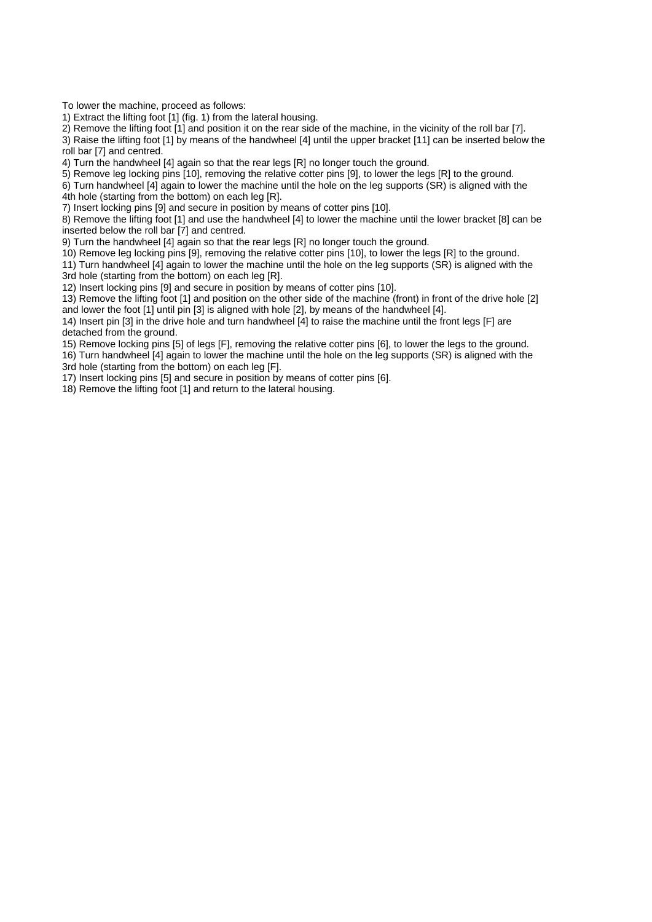To lower the machine, proceed as follows:

1) Extract the lifting foot [1] (fig. 1) from the lateral housing.

2) Remove the lifting foot [1] and position it on the rear side of the machine, in the vicinity of the roll bar [7].

3) Raise the lifting foot [1] by means of the handwheel [4] until the upper bracket [11] can be inserted below the roll bar [7] and centred.

4) Turn the handwheel [4] again so that the rear legs [R] no longer touch the ground.

5) Remove leg locking pins [10], removing the relative cotter pins [9], to lower the legs [R] to the ground.

6) Turn handwheel [4] again to lower the machine until the hole on the leg supports (SR) is aligned with the 4th hole (starting from the bottom) on each leg [R].

7) Insert locking pins [9] and secure in position by means of cotter pins [10].

8) Remove the lifting foot [1] and use the handwheel [4] to lower the machine until the lower bracket [8] can be inserted below the roll bar [7] and centred.

9) Turn the handwheel [4] again so that the rear legs [R] no longer touch the ground.

10) Remove leg locking pins [9], removing the relative cotter pins [10], to lower the legs [R] to the ground.

11) Turn handwheel [4] again to lower the machine until the hole on the leg supports (SR) is aligned with the 3rd hole (starting from the bottom) on each leg [R].

12) Insert locking pins [9] and secure in position by means of cotter pins [10].

13) Remove the lifting foot [1] and position on the other side of the machine (front) in front of the drive hole [2] and lower the foot [1] until pin [3] is aligned with hole [2], by means of the handwheel [4].

14) Insert pin [3] in the drive hole and turn handwheel [4] to raise the machine until the front legs [F] are detached from the ground.

15) Remove locking pins [5] of legs [F], removing the relative cotter pins [6], to lower the legs to the ground. 16) Turn handwheel [4] again to lower the machine until the hole on the leg supports (SR) is aligned with the 3rd hole (starting from the bottom) on each leg [F].

17) Insert locking pins [5] and secure in position by means of cotter pins [6].

18) Remove the lifting foot [1] and return to the lateral housing.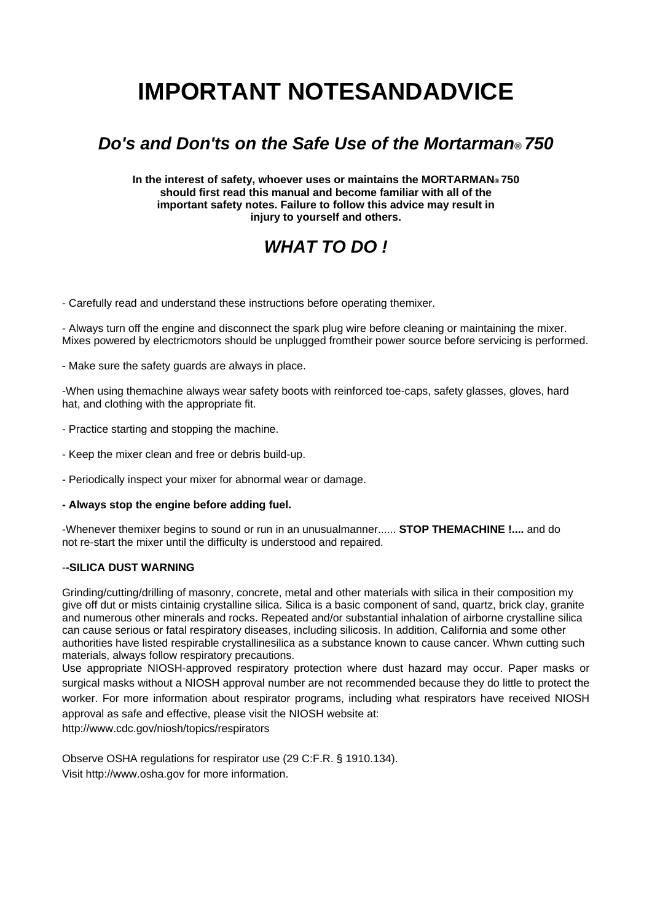## **IMPORTANT NOTESANDADVICE**

### *Do's and Don'ts on the Safe Use of the Mortarman® 750*

**In the interest of safety, whoever uses or maintains the MORTARMAN® 750 should first read this manual and become familiar with all of the important safety notes. Failure to follow this advice may result in injury to yourself and others.**

### *WHAT TO DO !*

- Carefully read and understand these instructions before operating themixer.

- Always turn off the engine and disconnect the spark plug wire before cleaning or maintaining the mixer. Mixes powered by electricmotors should be unplugged fromtheir power source before servicing is performed.

- Make sure the safety guards are always in place.

-When using themachine always wear safety boots with reinforced toe-caps, safety glasses, gloves, hard hat, and clothing with the appropriate fit.

- Practice starting and stopping the machine.

- Keep the mixer clean and free or debris build-up.

- Periodically inspect your mixer for abnormal wear or damage.

#### **- Always stop the engine before adding fuel.**

-Whenever themixer begins to sound or run in an unusualmanner...... **STOP THEMACHINE !....** and do not re-start the mixer until the difficulty is understood and repaired.

#### -**-SILICA DUST WARNING**

Grinding/cutting/drilling of masonry, concrete, metal and other materials with silica in their composition my give off dut or mists cintainig crystalline silica. Silica is a basic component of sand, quartz, brick clay, granite and numerous other minerals and rocks. Repeated and/or substantial inhalation of airborne crystalline silica can cause serious or fatal respiratory diseases, including silicosis. In addition, California and some other authorities have listed respirable crystallinesilica as a substance known to cause cancer. Whwn cutting such materials, always follow respiratory precautions.

Use appropriate NIOSH-approved respiratory protection where dust hazard may occur. Paper masks or surgical masks without a NIOSH approval number are not recommended because they do little to protect the worker. For more information about respirator programs, including what respirators have received NIOSH approval as safe and effective, please visit the NIOSH website at: http://www.cdc.gov/niosh/topics/respirators

Observe OSHA regulations for respirator use (29 C:F.R. § 1910.134). Visit http://www.osha.gov for more information.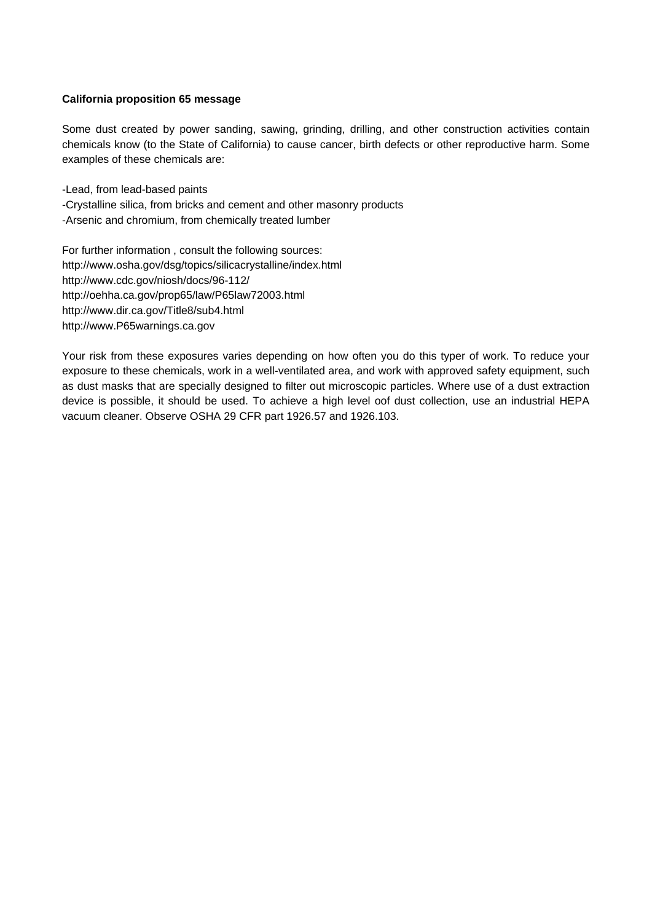#### **California proposition 65 message**

Some dust created by power sanding, sawing, grinding, drilling, and other construction activities contain chemicals know (to the State of California) to cause cancer, birth defects or other reproductive harm. Some examples of these chemicals are:

-Lead, from lead-based paints

- -Crystalline silica, from bricks and cement and other masonry products
- -Arsenic and chromium, from chemically treated lumber

For further information , consult the following sources: http://www.osha.gov/dsg/topics/silicacrystalline/index.html http://www.cdc.gov/niosh/docs/96-112/ http://oehha.ca.gov/prop65/law/P65law72003.html http://www.dir.ca.gov/Title8/sub4.html http://www.P65warnings.ca.gov

Your risk from these exposures varies depending on how often you do this typer of work. To reduce your exposure to these chemicals, work in a well-ventilated area, and work with approved safety equipment, such as dust masks that are specially designed to filter out microscopic particles. Where use of a dust extraction device is possible, it should be used. To achieve a high level oof dust collection, use an industrial HEPA vacuum cleaner. Observe OSHA 29 CFR part 1926.57 and 1926.103.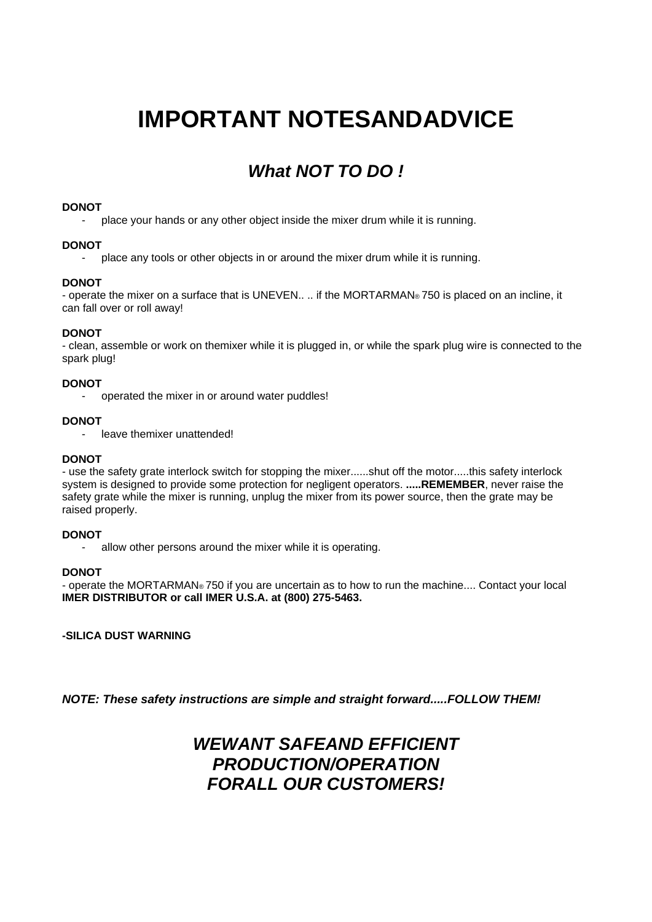## **IMPORTANT NOTESANDADVICE**

### *What NOT TO DO !*

#### **DONOT**

place your hands or any other object inside the mixer drum while it is running.

#### **DONOT**

- place any tools or other objects in or around the mixer drum while it is running.

#### **DONOT**

- operate the mixer on a surface that is UNEVEN.... if the MORTARMAN® 750 is placed on an incline, it can fall over or roll away!

#### **DONOT**

- clean, assemble or work on themixer while it is plugged in, or while the spark plug wire is connected to the spark plug!

#### **DONOT**

operated the mixer in or around water puddles!

#### **DONOT**

- leave themixer unattended!

#### **DONOT**

- use the safety grate interlock switch for stopping the mixer......shut off the motor.....this safety interlock system is designed to provide some protection for negligent operators. **.....REMEMBER**, never raise the safety grate while the mixer is running, unplug the mixer from its power source, then the grate may be raised properly.

#### **DONOT**

allow other persons around the mixer while it is operating.

#### **DONOT**

- operate the MORTARMAN® 750 if you are uncertain as to how to run the machine.... Contact your local **IMER DISTRIBUTOR or call IMER U.S.A. at (800) 275-5463.**

**-SILICA DUST WARNING**

*NOTE: These safety instructions are simple and straight forward.....FOLLOW THEM!*

### *WEWANT SAFEAND EFFICIENT PRODUCTION/OPERATION FORALL OUR CUSTOMERS!*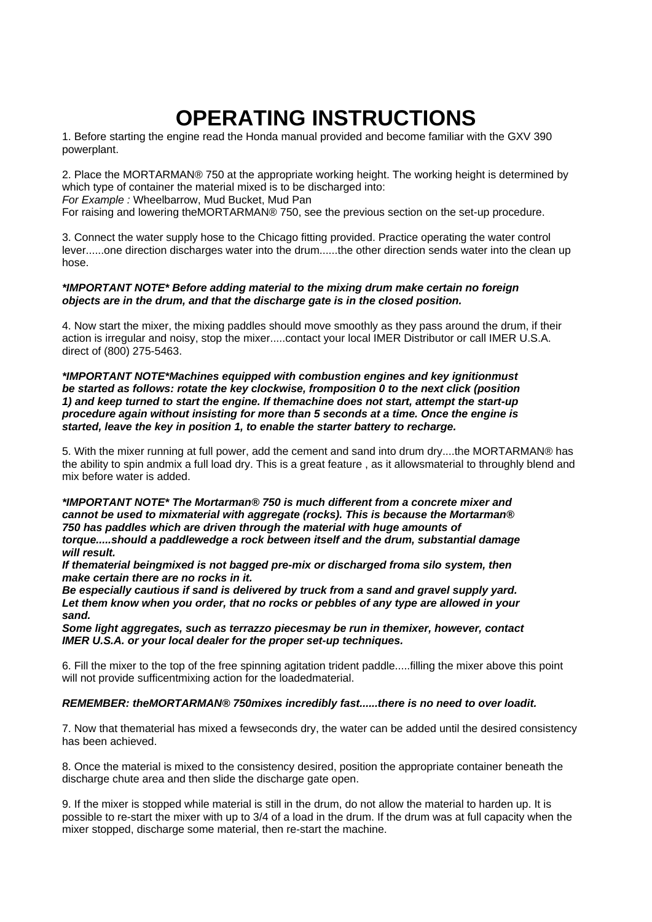### **OPERATING INSTRUCTIONS**

1. Before starting the engine read the Honda manual provided and become familiar with the GXV 390 powerplant.

2. Place the MORTARMAN® 750 at the appropriate working height. The working height is determined by which type of container the material mixed is to be discharged into: *For Example :* Wheelbarrow, Mud Bucket, Mud Pan

For raising and lowering theMORTARMAN® 750, see the previous section on the set-up procedure.

3. Connect the water supply hose to the Chicago fitting provided. Practice operating the water control lever......one direction discharges water into the drum......the other direction sends water into the clean up hose.

#### *\*IMPORTANT NOTE\* Before adding material to the mixing drum make certain no foreign objects are in the drum, and that the discharge gate is in the closed position.*

4. Now start the mixer, the mixing paddles should move smoothly as they pass around the drum, if their action is irregular and noisy, stop the mixer.....contact your local IMER Distributor or call IMER U.S.A. direct of (800) 275-5463.

#### *\*IMPORTANT NOTE\*Machines equipped with combustion engines and key ignitionmust be started as follows: rotate the key clockwise, fromposition 0 to the next click (position 1) and keep turned to start the engine. If themachine does not start, attempt the start-up procedure again without insisting for more than 5 seconds at a time. Once the engine is started, leave the key in position 1, to enable the starter battery to recharge.*

5. With the mixer running at full power, add the cement and sand into drum dry....the MORTARMAN® has the ability to spin andmix a full load dry. This is a great feature , as it allowsmaterial to throughly blend and mix before water is added.

*\*IMPORTANT NOTE\* The Mortarman® 750 is much different from a concrete mixer and cannot be used to mixmaterial with aggregate (rocks). This is because the Mortarman® 750 has paddles which are driven through the material with huge amounts of torque.....should a paddlewedge a rock between itself and the drum, substantial damage will result.*

*If thematerial beingmixed is not bagged pre-mix or discharged froma silo system, then make certain there are no rocks in it.*

*Be especially cautious if sand is delivered by truck from a sand and gravel supply yard. Let them know when you order, that no rocks or pebbles of any type are allowed in your sand.*

*Some light aggregates, such as terrazzo piecesmay be run in themixer, however, contact IMER U.S.A. or your local dealer for the proper set-up techniques.*

6. Fill the mixer to the top of the free spinning agitation trident paddle.....filling the mixer above this point will not provide sufficentmixing action for the loadedmaterial.

#### *REMEMBER: theMORTARMAN® 750mixes incredibly fast......there is no need to over loadit.*

7. Now that thematerial has mixed a fewseconds dry, the water can be added until the desired consistency has been achieved.

8. Once the material is mixed to the consistency desired, position the appropriate container beneath the discharge chute area and then slide the discharge gate open.

9. If the mixer is stopped while material is still in the drum, do not allow the material to harden up. It is possible to re-start the mixer with up to 3/4 of a load in the drum. If the drum was at full capacity when the mixer stopped, discharge some material, then re-start the machine.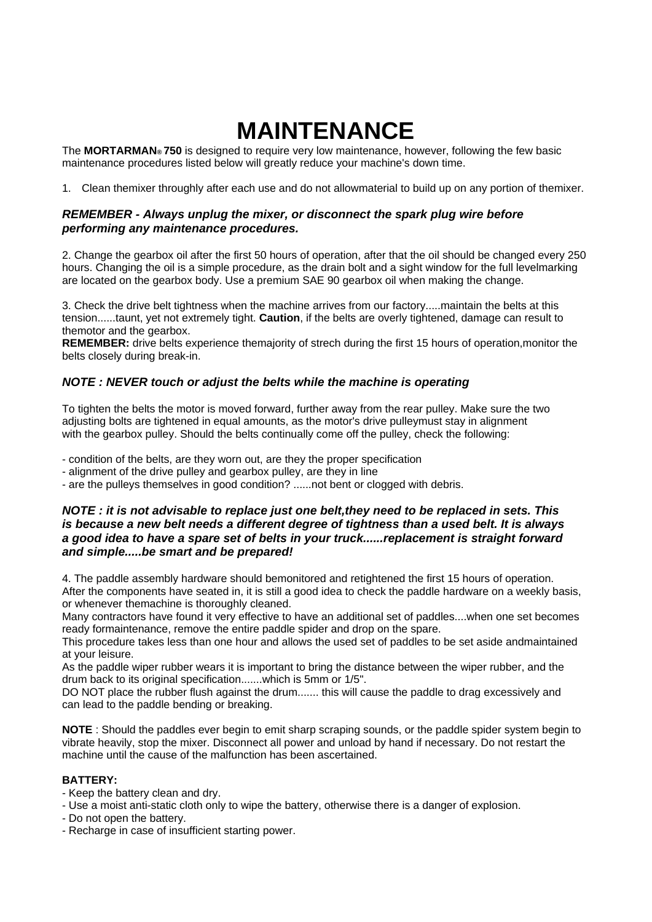## **MAINTENANCE**

The **MORTARMAN® 750** is designed to require very low maintenance, however, following the few basic maintenance procedures listed below will greatly reduce your machine's down time.

1. Clean themixer throughly after each use and do not allowmaterial to build up on any portion of themixer.

#### *REMEMBER - Always unplug the mixer, or disconnect the spark plug wire before performing any maintenance procedures.*

2. Change the gearbox oil after the first 50 hours of operation, after that the oil should be changed every 250 hours. Changing the oil is a simple procedure, as the drain bolt and a sight window for the full levelmarking are located on the gearbox body. Use a premium SAE 90 gearbox oil when making the change.

3. Check the drive belt tightness when the machine arrives from our factory.....maintain the belts at this tension......taunt, yet not extremely tight. **Caution**, if the belts are overly tightened, damage can result to themotor and the gearbox.

**REMEMBER:** drive belts experience themajority of strech during the first 15 hours of operation,monitor the belts closely during break-in.

#### *NOTE : NEVER touch or adjust the belts while the machine is operating*

To tighten the belts the motor is moved forward, further away from the rear pulley. Make sure the two adjusting bolts are tightened in equal amounts, as the motor's drive pulleymust stay in alignment with the gearbox pulley. Should the belts continually come off the pulley, check the following:

- condition of the belts, are they worn out, are they the proper specification

- alignment of the drive pulley and gearbox pulley, are they in line

- are the pulleys themselves in good condition? ......not bent or clogged with debris.

#### *NOTE : it is not advisable to replace just one belt,they need to be replaced in sets. This is because a new belt needs a different degree of tightness than a used belt. It is always a good idea to have a spare set of belts in your truck......replacement is straight forward and simple.....be smart and be prepared!*

4. The paddle assembly hardware should bemonitored and retightened the first 15 hours of operation. After the components have seated in, it is still a good idea to check the paddle hardware on a weekly basis, or whenever themachine is thoroughly cleaned.

Many contractors have found it very effective to have an additional set of paddles....when one set becomes ready formaintenance, remove the entire paddle spider and drop on the spare.

This procedure takes less than one hour and allows the used set of paddles to be set aside andmaintained at your leisure.

As the paddle wiper rubber wears it is important to bring the distance between the wiper rubber, and the drum back to its original specification.......which is 5mm or 1/5".

DO NOT place the rubber flush against the drum....... this will cause the paddle to drag excessively and can lead to the paddle bending or breaking.

**NOTE** : Should the paddles ever begin to emit sharp scraping sounds, or the paddle spider system begin to vibrate heavily, stop the mixer. Disconnect all power and unload by hand if necessary. Do not restart the machine until the cause of the malfunction has been ascertained.

#### **BATTERY:**

- Keep the battery clean and dry.

- Use a moist anti-static cloth only to wipe the battery, otherwise there is a danger of explosion.

- Do not open the battery.

- Recharge in case of insufficient starting power.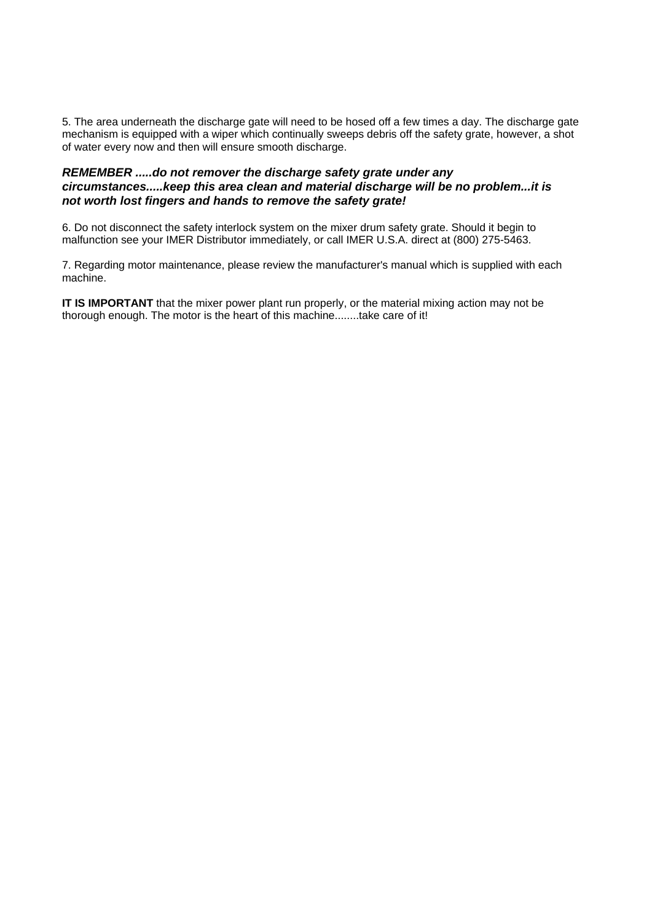5. The area underneath the discharge gate will need to be hosed off a few times a day. The discharge gate mechanism is equipped with a wiper which continually sweeps debris off the safety grate, however, a shot of water every now and then will ensure smooth discharge.

#### *REMEMBER .....do not remover the discharge safety grate under any circumstances.....keep this area clean and material discharge will be no problem...it is not worth lost fingers and hands to remove the safety grate!*

6. Do not disconnect the safety interlock system on the mixer drum safety grate. Should it begin to malfunction see your IMER Distributor immediately, or call IMER U.S.A. direct at (800) 275-5463.

7. Regarding motor maintenance, please review the manufacturer's manual which is supplied with each machine.

**IT IS IMPORTANT** that the mixer power plant run properly, or the material mixing action may not be thorough enough. The motor is the heart of this machine........take care of it!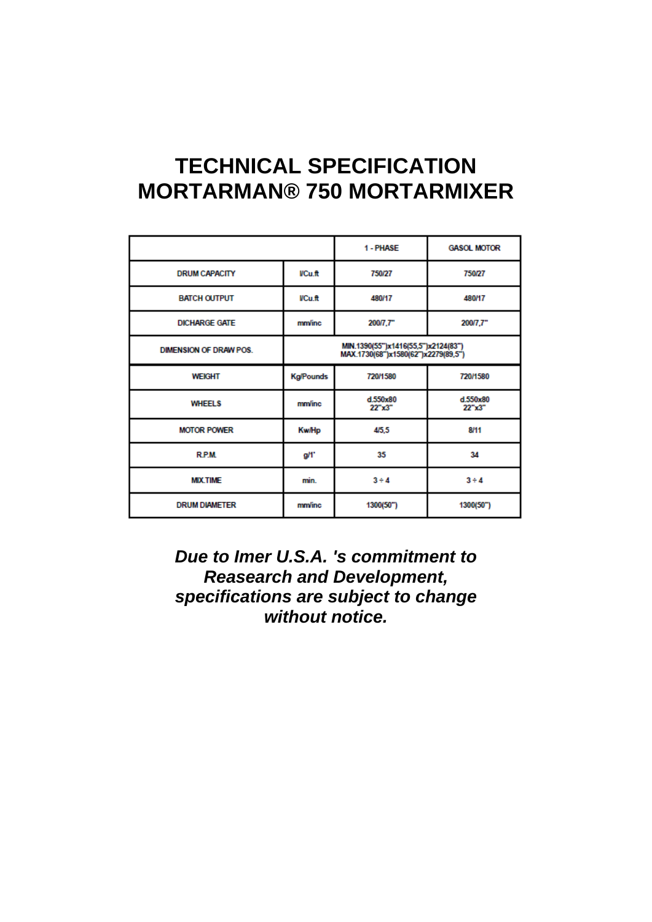### **TECHNICAL SPECIFICATION MORTARMAN® 750 MORTARMIXER**

|                               |                  | 1 - PHASE                                                                  | <b>GASOL MOTOR</b> |
|-------------------------------|------------------|----------------------------------------------------------------------------|--------------------|
| <b>DRUM CAPACITY</b>          | <b>VCu.ft</b>    | 750/27                                                                     | 750/27             |
| <b>BATCH OUTPUT</b>           | VCu.ft           | 480/17                                                                     | 480/17             |
| <b>DICHARGE GATE</b>          | <b>mm/inc</b>    | 200/7,7"                                                                   | 200/7.7"           |
| <b>DIMENSION OF DRAW POS.</b> |                  | MIN.1390(55")x1416(55,5")x2124(83")<br>MAX.1730(68")x1580(62")x2279(89,5") |                    |
| <b>WEIGHT</b>                 | <b>Kg/Pounds</b> | 720/1580                                                                   | 720/1580           |
| <b>WHEELS</b>                 | <b>mm/inc</b>    | d.550x80<br>22"x3"                                                         | d.550x80<br>22"x3" |
| <b>MOTOR POWER</b>            | <b>Kw/Hp</b>     | 4/5.5                                                                      | 8/11               |
| <b>RPM</b>                    | g/l'             | 35                                                                         | 34                 |
| <b>MIX.TIME</b>               | min.             | $3 + 4$                                                                    | $3 \div 4$         |
| <b>DRUM DIAMETER</b>          | <b>mm/inc</b>    | 1300(50")                                                                  | 1300(50")          |

*Due to Imer U.S.A. 's commitment to Reasearch and Development, specifications are subject to change without notice.*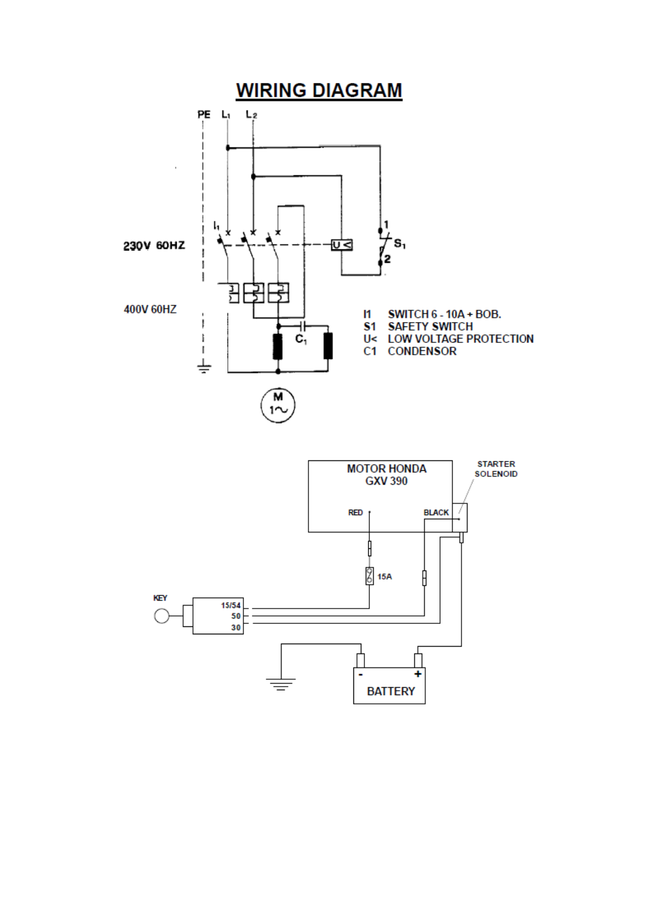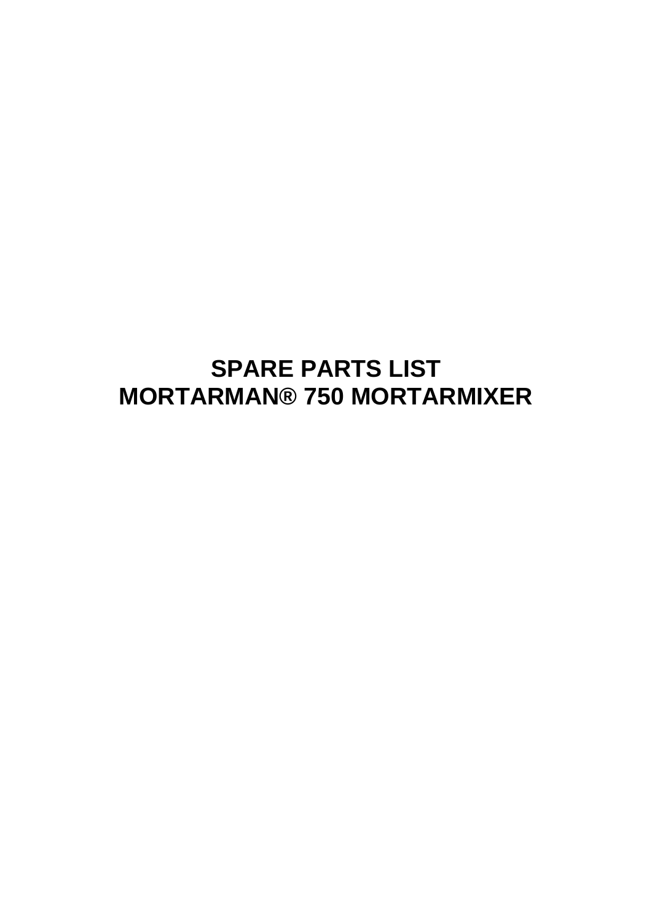### **SPARE PARTS LIST MORTARMAN® 750 MORTARMIXER**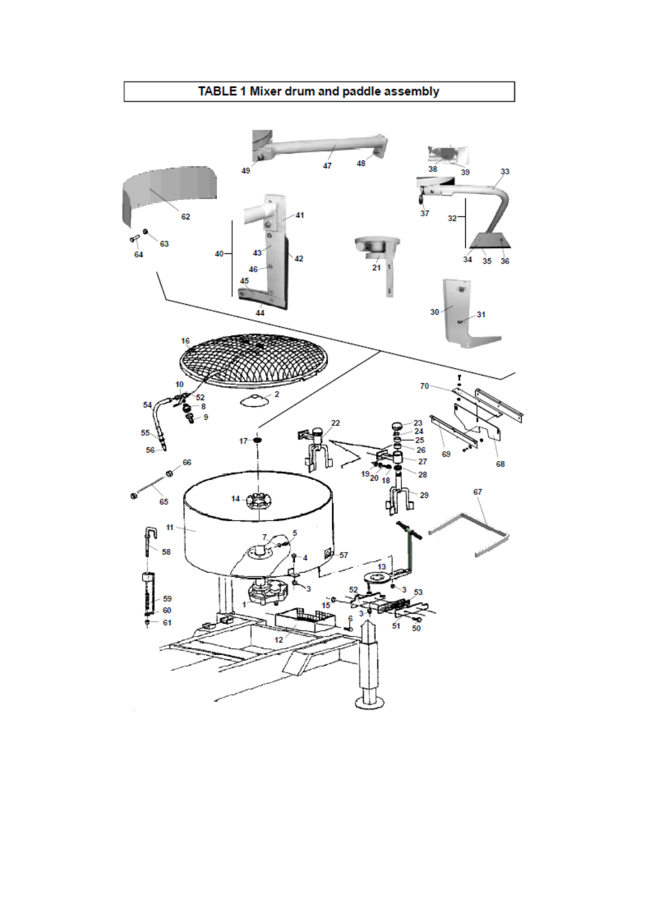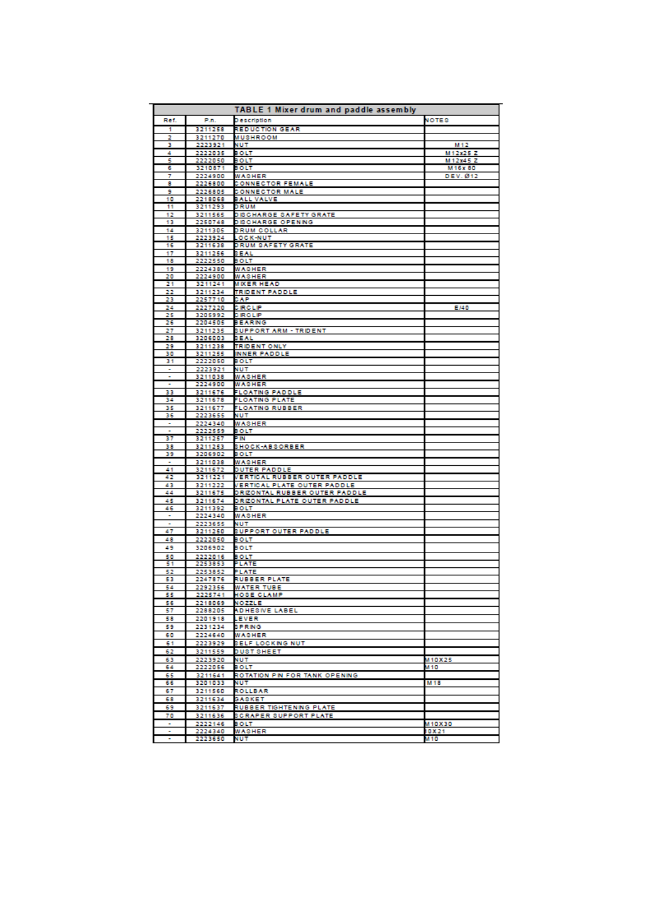|                      |                    | TABLE 1 Mixer drum and paddle assembly              |                             |
|----------------------|--------------------|-----------------------------------------------------|-----------------------------|
| Ref.                 | P.n.               | Description                                         | <b>NOTES</b>                |
| 1                    | 3211258            | REDUCTION GEAR                                      |                             |
| 2                    | 3211270            | MUSHROOM                                            |                             |
| з<br>4               | 2223921<br>2222035 | NUT<br>BOLT                                         | M <sub>12</sub><br>M12x25ZZ |
| 5                    | 2222050            | BOLT                                                | M12x45Z                     |
| 6                    | 3210871            | BOLT                                                | M16x80                      |
| 7                    | 2224900            | WASHER                                              | DEV. Ø12                    |
| 8                    | 2226800            | <b>CONNECTOR FEMALE</b>                             |                             |
| 9<br>10              | 2226805<br>2218068 | <b>CONNECTOR MALE</b><br><b>BALL VALVE</b>          |                             |
| 11                   | 3211293            | DRUM                                                |                             |
| 12                   | 3211565            | <b>DISCHARGE SAFETY GRATE</b>                       |                             |
| 13                   | 2250748            | DISCHARGE OPENING                                   |                             |
| 14<br>15             | 3211305<br>2223924 | DRUM COLLAR<br><b>OCK NUT</b>                       |                             |
| 16                   | 3211638            | DRUM SAFETY GRATE                                   |                             |
| 17                   | 3211256            | <b>BEAL</b>                                         |                             |
| 18                   | 2222550            | BOLT                                                |                             |
| 19<br>20             | 2224380<br>2224900 | WASHER<br>WASHER                                    |                             |
| 21                   | 3211241            | MIXER HEAD                                          |                             |
| 22                   | 3211234            | TRIDENT PADDLE                                      |                             |
| 23                   | 2257710            | CAP                                                 |                             |
| 24<br>25             | 2227220<br>3205992 | <b>CIRCLIP</b><br>SIRCLIP                           | E/40                        |
| 26                   | 2204505            | BEARNG                                              |                             |
| 27                   | 3211235            | <b>SUPPORT ARM - TRIDENT</b>                        |                             |
| 28                   | 3206003            | <b>BEAL</b>                                         |                             |
| 29<br>30             | 3211238            | <b>TRIDENT ONLY</b>                                 |                             |
| 31                   | 3211255<br>2222050 | <b>INNER PADDLE</b><br>воцт                         |                             |
| ۰                    | 2223921            | NUT                                                 |                             |
|                      | 3211038            | <b>WASHER</b>                                       |                             |
| ٠                    | 2224900<br>3211676 | WASHER<br><b>FLOATING PADDLE</b>                    |                             |
| 33<br>34             | 3211678            | FLOATING PLATE                                      |                             |
| 35                   | 3211677            | FLOATING RUBBER                                     |                             |
| 36                   | 2223655            | NUT                                                 |                             |
| ٠                    | 2224340            | WASHER                                              |                             |
| ٠<br>37              | 2222559<br>3211257 | BOLT<br>P IN                                        |                             |
| 38                   | 3211253            | <b>SHOCK-ABSORBER</b>                               |                             |
| 39                   | 3206902            | BOLT                                                |                             |
| ۰                    | 3211038            | <b>WASHER</b>                                       |                             |
| 41<br>42             | 3211672<br>3211221 | <b>DUTER PADDLE</b><br>VERTICAL RUBBER OUTER PADDLE |                             |
| 43                   | 3211222            | VERTICAL PLATE OUTER PADDLE                         |                             |
| 44                   | 3211675            | DRIZONTAL RUBBER OUTER PADDLE                       |                             |
| 45                   | 3211674            | DRIZONTAL PLATE OUTER PADDLE                        |                             |
| 46<br>٠              | 3211392<br>2224340 | 80 LT<br>WASHER                                     |                             |
| $\ddot{\phantom{0}}$ | 2223655            | NUT                                                 |                             |
| 47                   | 3211250            | <b>BUPPORT OUTER PADDLE</b>                         |                             |
| 48                   | 2222050            | BOLT                                                |                             |
| 49                   | 3206902            | BOLT                                                |                             |
| 50                   | 2222016            | BOLT                                                |                             |
| 51<br>52             | 2253853<br>2253852 | PLATE<br>PLATE                                      |                             |
| 53                   | 2247876            | <b>RUBBER PLATE</b>                                 |                             |
| 54                   | 2292356            | WATER TUBE                                          |                             |
| 55                   | 2225741            | <b>HOSE CLAMP</b>                                   |                             |
| 56<br>57             | 2218069<br>2288205 | <b>NOZZLE</b><br>ADHESIVE LABEL                     |                             |
| 58                   | 2201918            | .EVER                                               |                             |
| 59                   | 2231234            | <b>BPRING</b>                                       |                             |
| 60                   | 2224640            | <b>WASHER</b>                                       |                             |
| 61                   | 2223929            | BELF LOCKING NUT                                    |                             |
| 62                   | 3211559            | <b>DUST SHEET</b>                                   |                             |
| 63<br>64             | 2223920<br>2222056 | NUT<br>BOLT                                         | M10X25<br>M 10              |
| 65                   | 3211641            | ROTATION PIN FOR TANK OPENING                       |                             |
| 66                   | 3201033            | NUT                                                 | M 18                        |
| 67                   | 3211560            | ROLLBAR                                             |                             |
| 68                   | 3211634            | SASKET                                              |                             |
| 69                   | 3211637            | RUBBER TIGHTENING PLATE                             |                             |
| 70<br>۰              | 3211636            | SCRAPER SUPPORT PLATE                               |                             |
|                      | 2222146<br>2224340 | BOLT<br><b>WASHER</b>                               | M10X30<br>10X21             |
|                      |                    |                                                     |                             |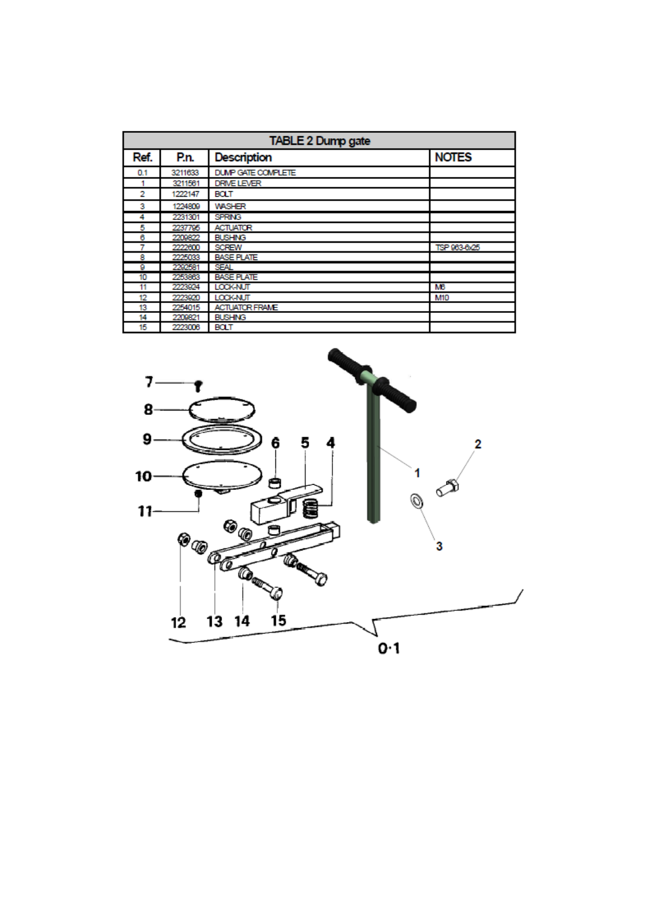| <b>TABLE 2 Dump gate</b> |         |                       |              |
|--------------------------|---------|-----------------------|--------------|
| Ref.                     | P.n.    | <b>Description</b>    | <b>NOTES</b> |
| 0.1                      | 3211633 | DUMP GATE COMPLETE    |              |
|                          | 3211561 | <b>DRIVE LEVER</b>    |              |
| 2                        | 1222147 | BOLT                  |              |
| 3                        | 1224809 | <b>WASHER</b>         |              |
| 4                        | 2231301 | <b>SPRING</b>         |              |
| 5                        | 2237795 | <b>ACTUATOR</b>       |              |
| 6                        | 2209822 | <b>BUSHING</b>        |              |
|                          | 2222600 | <b>SCREW</b>          | TSP 963-6x25 |
| 8                        | 2225033 | <b>BASE PLATE</b>     |              |
| 9                        | 2292581 | <b>SEAL</b>           |              |
| 10                       | 2253863 | <b>BASE PLATE</b>     |              |
| 11                       | 2223924 | <b>LOCK NUT</b>       | <b>MB</b>    |
| 12                       | 2223920 | LOCK NUT              | M10          |
| 13                       | 2254015 | <b>ACTUATOR FRAME</b> |              |
| 14                       | 2209821 | <b>BUSHING</b>        |              |
| 15                       | 2223006 | <b>BOLT</b>           |              |

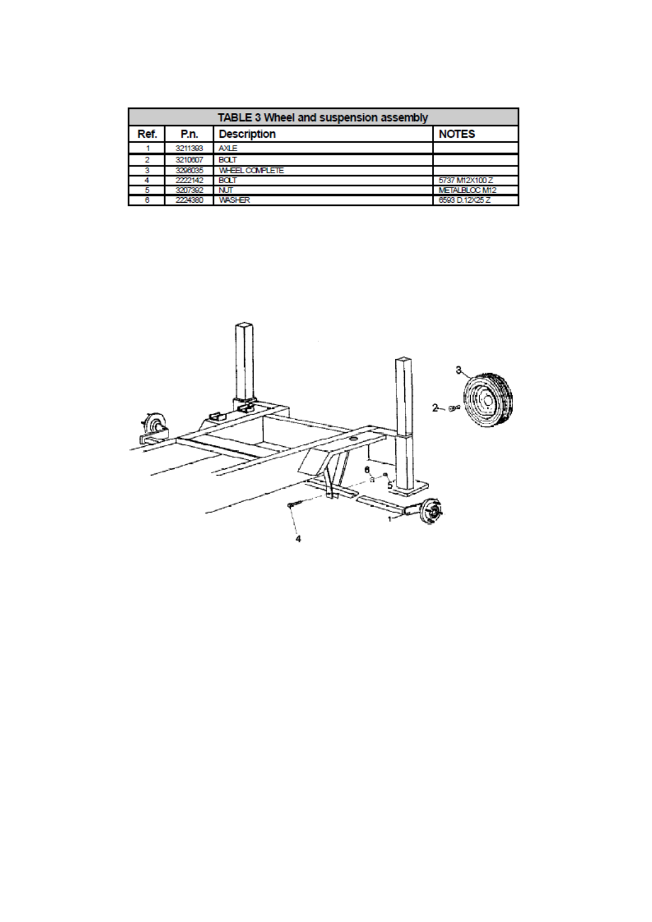| <b>TABLE 3 Wheel and suspension assembly</b> |         |                       |                      |
|----------------------------------------------|---------|-----------------------|----------------------|
| Ref.                                         | P.n.    | <b>Description</b>    | <b>NOTES</b>         |
|                                              | 3211393 | <b>AXLE</b>           |                      |
| 2                                            | 3210607 | <b>BOLT</b>           |                      |
|                                              | 3296035 | <b>WHEEL COMPLETE</b> |                      |
|                                              | 2222142 | BOLT                  | 5737 M12X100 Z       |
|                                              | 3207392 | <b>NUT</b>            | <b>METALBLOC M12</b> |
|                                              | 2224380 | <b>WASHER</b>         | 6593 D.12X25 Z       |

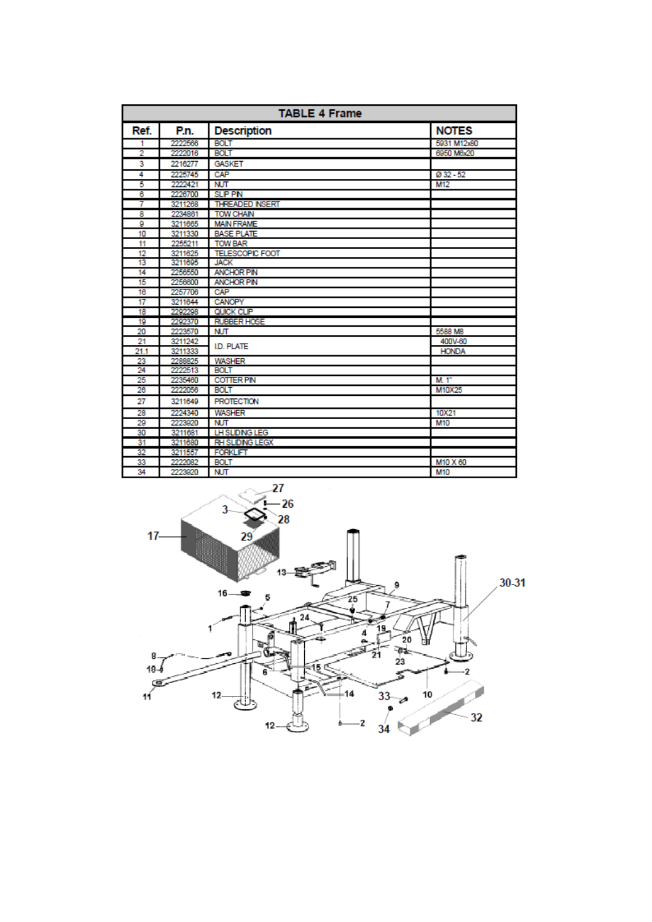| <b>TABLE 4 Frame</b> |         |                        |              |
|----------------------|---------|------------------------|--------------|
| Ref.                 | P.n.    | <b>Description</b>     | <b>NOTES</b> |
| 1                    | 2222566 | <b>BOLT</b>            | 5931 M12x80  |
| $\overline{2}$       | 2222016 | <b>BOLT</b>            | 6950 M6x20   |
| 3                    | 2216277 | <b>GASKET</b>          |              |
| 4                    | 2225745 | CAP                    | $Q$ 32 - 52  |
| 5                    | 2222421 | <b>NUT</b>             | M12          |
| 6                    | 2226700 | <b>SLP PN</b>          |              |
| 7                    | 3211268 | <b>THREADED INSERT</b> |              |
| 8                    | 2234861 | <b>TOW CHAN</b>        |              |
| g                    | 3211665 | <b>MAIN FRAME</b>      |              |
| 10                   | 3211330 | <b>BASE PLATE</b>      |              |
| 11                   | 2255211 | <b>TOW BAR</b>         |              |
| 12                   | 3211625 | <b>TELESCOPIC FOOT</b> |              |
| 13                   | 3211695 | <b>JACK</b>            |              |
| 14                   | 2256550 | <b>ANCHOR PIN</b>      |              |
| 15                   | 2256600 | <b>ANCHOR PIN</b>      |              |
| 16                   | 2257706 | CAP                    |              |
| 17                   | 3211644 | CANOPY                 |              |
| 18                   | 2292298 | QUICK CLIP             |              |
| 19                   | 2292370 | <b>RUBBER HOSE</b>     |              |
| 20                   | 2223570 | <b>NUT</b>             | 5588 M8      |
| 21                   | 3211242 | <b>ID. PLATE</b>       | 400V-60      |
| 21.1                 | 3211333 |                        | <b>HONDA</b> |
| 23                   | 2288825 | <b>WASHER</b>          |              |
| 24                   | 2222513 | <b>BOLT</b>            |              |
| 25                   | 2235460 | <b>COTTER PIN</b>      | M. 1"        |
| 26                   | 2222056 | <b>BOLT</b>            | M10X25       |
| 27                   | 3211649 | <b>PROTECTION</b>      |              |
| 28                   | 2224340 | <b>WASHER</b>          | 10X21        |
| 29                   | 2223920 | <b>NUT</b>             | M10          |
| 30                   | 3211681 | LH SLDNG LEG           |              |
| 31                   | 3211680 | <b>RH SLIDING LEGX</b> |              |
| 32                   | 3211557 | <b>FORKLIFT</b>        |              |
| 33                   | 2222082 | <b>BOLT</b>            | M10 X 60     |
| 34                   | 2223920 | <b>NUT</b>             | M10          |

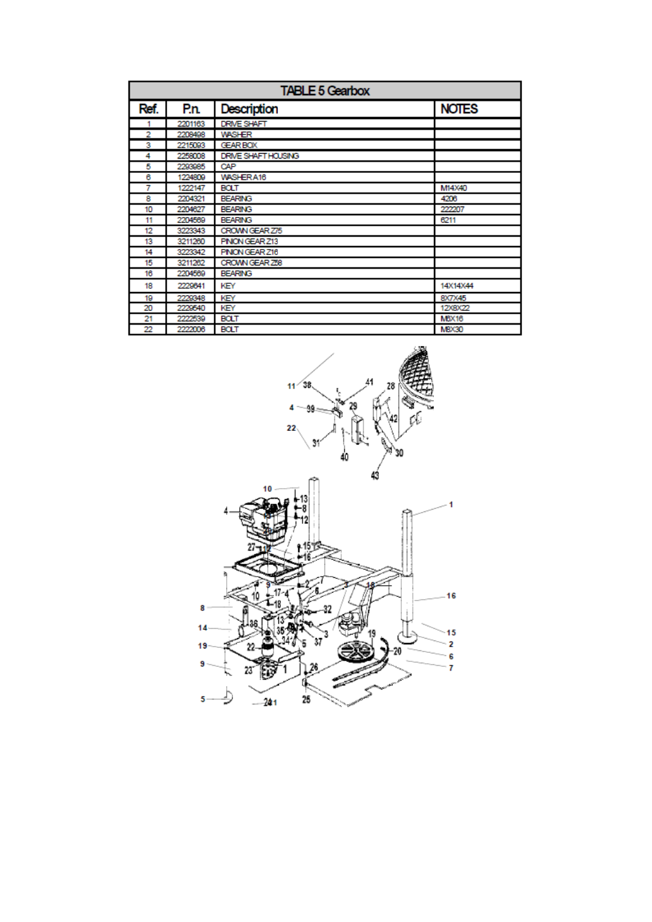| <b>TABLE 5 Gearbox</b> |         |                     |              |
|------------------------|---------|---------------------|--------------|
| Ref.                   | P.n.    | <b>Description</b>  | <b>NOTES</b> |
| 1                      | 2201163 | DRIVE SHAFT         |              |
| 2                      | 2208498 | <b>WASHER</b>       |              |
| з                      | 2215093 | <b>GEAR BOX</b>     |              |
| 4                      | 2258008 | DRIVE SHAFT HOUSING |              |
| 5                      | 2293985 | CAP                 |              |
| 6                      | 1224809 | WASHERA16           |              |
| 7                      | 1222147 | <b>BOLT</b>         | M14X40       |
| 8                      | 2204321 | <b>BEARING</b>      | 4206         |
| 10                     | 2204627 | <b>BEARING</b>      | 222207       |
| 11                     | 2204569 | <b>BEARING</b>      | 6211         |
| 12                     | 3223343 | CROWN GEAR Z75      |              |
| 13                     | 3211260 | PNON GEAR Z13       |              |
| 14                     | 3223342 | PNON GEAR Z16       |              |
| 15                     | 3211262 | CROWN GEAR 258      |              |
| 16                     | 2204569 | <b>BEARING</b>      |              |
| 18                     | 2229641 | KEY                 | 14X14X44     |
| 19                     | 2229348 | KEY                 | 8X7X45       |
| 20                     | 2229540 | KEY                 | 12X8X22      |
| 21                     | 2222539 | <b>BOLT</b>         | <b>MBX16</b> |
| 22                     | 2222006 | <b>BOLT</b>         | <b>MBX30</b> |

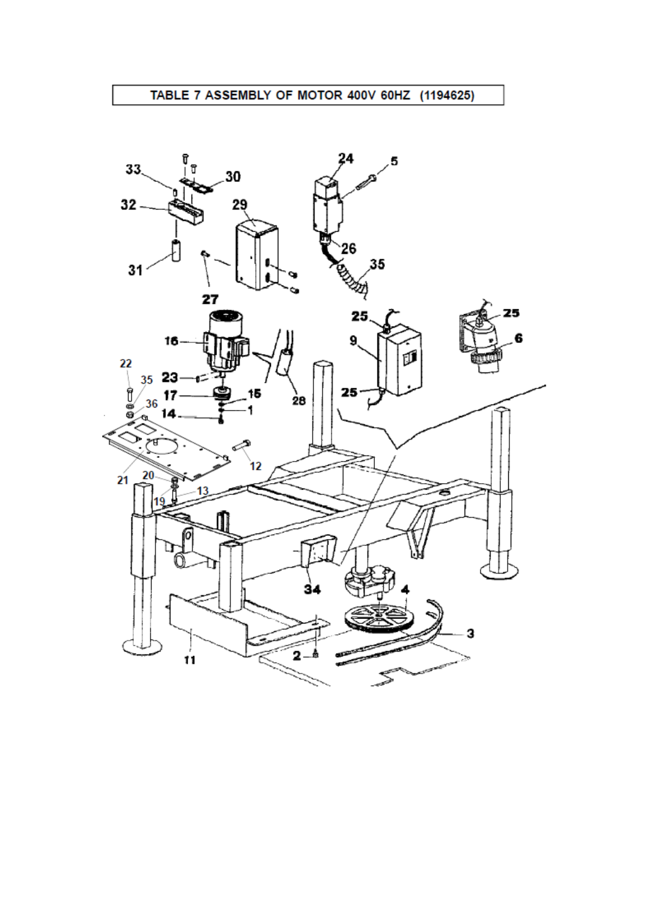### TABLE 7 ASSEMBLY OF MOTOR 400V 60HZ (1194625)

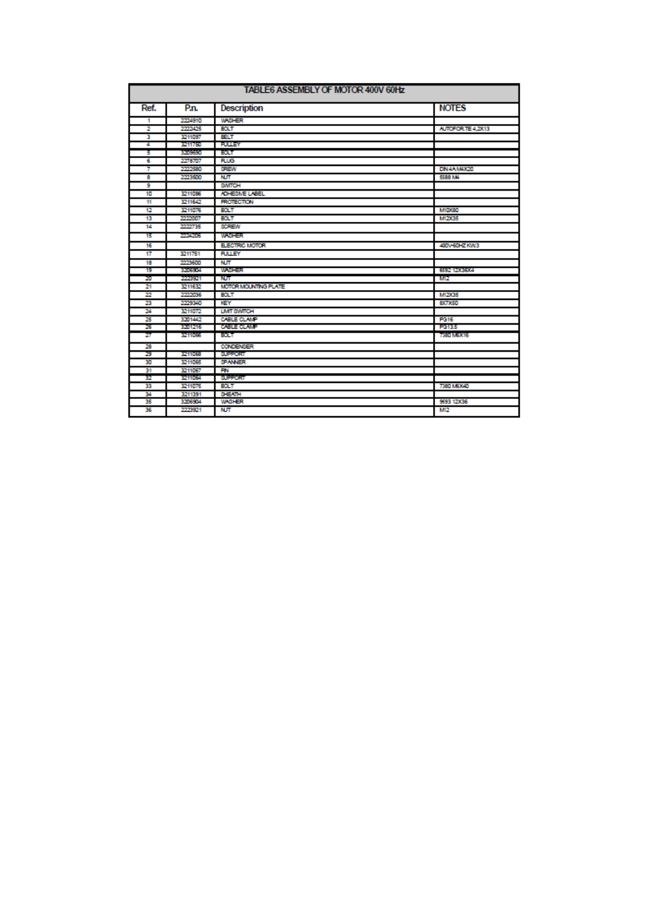| TABLE6 ASSEMBLY OF MOTOR 400V 60Hz |         |                       |                       |
|------------------------------------|---------|-----------------------|-----------------------|
| Ref.                               | P.n.    | <b>Description</b>    | <b>NOTES</b>          |
| 1                                  | 2224910 | <b>WASHER</b>         |                       |
| 2                                  | 2222425 | <b>BOLT</b>           | AUTOFOR TE 4,2X13     |
| 3                                  | 3211097 | <b>BELT</b>           |                       |
| 4                                  | 3211750 | <b>PULLEY</b>         |                       |
| 5                                  | 3709350 | BOLT                  |                       |
| 6                                  | 2278707 | <b>RUG</b>            |                       |
| 7                                  | 2222580 | SREW                  | DIN 4A M4X20          |
| 8                                  | 2223500 | <b>NUT</b>            | 5588 MA               |
| 9                                  |         | <b>SWITCH</b>         |                       |
| 10                                 | 3211086 | ADHESIVE LABEL        |                       |
| Ħ                                  | 3211642 | <b>PROTECTION</b>     |                       |
| 12                                 | 3211076 | BOLT                  | M10X80                |
| 13                                 | 2222007 | BOLT                  | M12X35                |
| 14                                 | 2222735 | <b>SCREW</b>          |                       |
| 15                                 | 2224206 | weer                  |                       |
| 16                                 |         | <b>ELECTRIC MOTOR</b> | 400V60HZKW3           |
| 17                                 | 3211751 | <b>PULLEY</b>         |                       |
| 18                                 | 2223600 | <b>NUT</b>            |                       |
| 19                                 | 3206904 | weier                 | <b>GSB2 120060004</b> |
| 20                                 | 2223921 | NЛ                    | M12                   |
| 21                                 | 3211632 | MOTOR MOUNTING PLATE  |                       |
| 22                                 | 2222036 | BOLT                  | M12X35                |
| 23                                 | 2229340 | KEY                   | <b>8X7X50</b>         |
| 24                                 | 3211072 | <b>LIMIT SWITCH</b>   |                       |
| 25                                 | 3201442 | CABLE CLAMP           | <b>PG16</b>           |
| 26                                 | 3201216 | <b>CABLE CLAMP</b>    | 10135                 |
| 27                                 | 3211066 | ют                    | 7380 MSX16            |
| 28                                 |         | <b>CONDENSER</b>      |                       |
| 29                                 | 3211068 | <b>SUPPORT</b>        |                       |
| 30                                 | 3211065 | <b>SPANNER</b>        |                       |
| 31                                 | 3211067 | <b>PN</b>             |                       |
| 32                                 | 3211064 | <b>SUPPORT</b>        |                       |
| 33                                 | 3211075 | <b>BOLT</b>           | 7380 MEX40            |
| 34                                 | 3211391 | SHEATH                |                       |
| 35                                 | 3206904 | <b>WASHER</b>         | 9593 12X36            |
| 36                                 | 2223921 | <b>NUT</b>            | M12                   |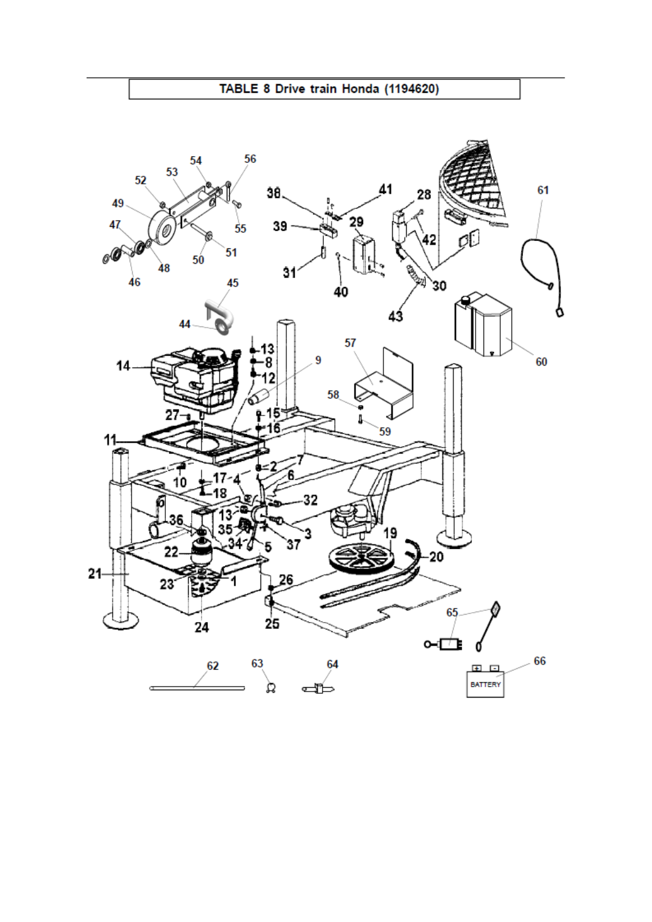

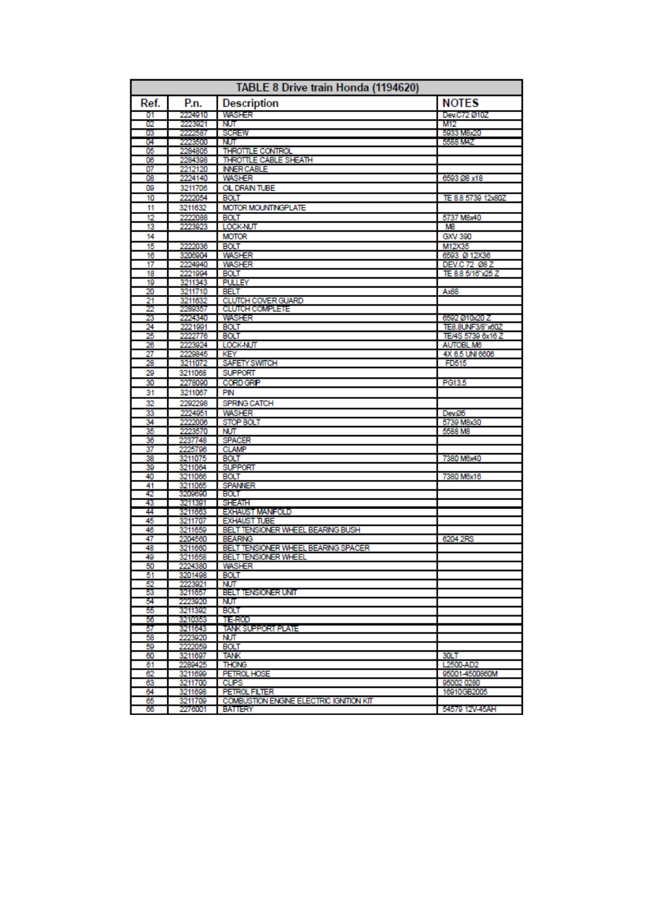| TABLE 8 Drive train Honda (1194620) |                    |                                               |                                       |
|-------------------------------------|--------------------|-----------------------------------------------|---------------------------------------|
| Ref.                                | P.n.               | <b>Description</b>                            | <b>NOTES</b>                          |
| 01                                  | 2224910            | WASHER                                        | Dev.C72 Ø10Z                          |
| 02                                  | 2223921            | NЛ                                            | M12                                   |
| 03                                  | 2222587            | SCREW                                         | 5933 M8x20                            |
| 04<br>05                            | 2223500<br>2284805 | NUT.<br>THROTTLE CONTROL                      | 5588 M4Z                              |
| 06                                  | 2284398            | THROTTLE CABLE SHEATH                         |                                       |
| 07                                  | 2212120            | <b>INNER CABLE</b>                            |                                       |
| 08                                  | 2224140            | <b>WASHER</b>                                 | 6593 Ø8 x18                           |
| œ                                   | 3211706            | OL DRAIN TUBE                                 |                                       |
| 10                                  | 2222054            | <b>BOLT</b>                                   | TE 8.8 5739 12x80Z                    |
| 11                                  | 3211632            | MOTOR MOUNTINGPLATE                           |                                       |
| 12                                  | 2222088            | <b>BOLT</b>                                   | 5737 M8x40                            |
| 13                                  | 2223923            | LOCK-NUT                                      | MЗ                                    |
| 14                                  |                    | <b>MOTOR</b>                                  | GXV 390                               |
| 15                                  | 2222036            | <b>BOLT</b>                                   | M12X35                                |
| 16<br>17                            | 3206904<br>2224940 | <b>WASHER</b><br><b>WASHER</b>                | 6593 Ø 12X36<br>DEV.C 72 Ø8 Z         |
| 18                                  | 2221994            | <b>BOLT</b>                                   | TE 8.8 5/16"x25 Z                     |
| 19                                  | 3211343            | <b>PULLEY</b>                                 |                                       |
| 20                                  | 3211710            | <b>BELT</b>                                   | Ax88                                  |
| 21                                  | 3211632<br>2289357 | CLUTCH COVER GUARD                            |                                       |
| 22<br>23                            |                    | <b>CLUTCH COMPLETE</b>                        |                                       |
|                                     | 2224340            | WASHER                                        | 6592 Ø10x20 Z                         |
| 24                                  | 2221991            | <b>BOLT</b><br><b>BOLT</b>                    | TE8.8UNF3/8"x60Z<br>TE/4S 5739 6x16 Z |
| 25<br>26                            | 2222776<br>2223924 | LOCK-NUT                                      | AUTOBL.M6                             |
| 27                                  | 2229845            | KEY                                           | 4X 6.5 UNI 6606                       |
| 28                                  | 3211072            | <b>SAFETY SWITCH</b>                          | FD515                                 |
| 29                                  | 3211068            | <b>SUPPORT</b>                                |                                       |
| 30                                  | 2278090            | <b>CORD GRP</b>                               | PG13.5                                |
| 31                                  | 3211067            | PIN                                           |                                       |
| 32                                  | 2292298            | SPRNG CATCH                                   |                                       |
| 33                                  | 2224051            | <b>WASHER</b>                                 | Dev.05                                |
| 34                                  | 2222006            | <b>STOP BOLT</b>                              | 5739 M8x30                            |
| 35                                  | 2223570            | <b>NUT</b>                                    | 5588 M8                               |
| 36<br>37                            | 2237748<br>2225796 | <b>SPACER</b><br><b>CLAMP</b>                 |                                       |
| 38                                  | 3211075            | <b>BOLT</b>                                   | 7380 M6x40                            |
| 39                                  | 3211064            | <b>SUPPORT</b>                                |                                       |
| 40                                  | 3211066            | <b>BOLT</b>                                   | 7380 M6x16                            |
| 41                                  | 3211065            | <b>SPANNER</b>                                |                                       |
| 42                                  | 3209690            | <b>BOLT</b>                                   |                                       |
| 43                                  | 3211391            | <b>SHEATH</b>                                 |                                       |
| 44<br>45                            | 3211663<br>3211707 | <b>EXHAUST MANFOLD</b><br><b>EXHAUST TUBE</b> |                                       |
| 46                                  | 3211659            | BELT TENSIONER WHEEL BEARING BUSH             |                                       |
| 47                                  | 2204560            | <b>BEARING</b>                                | 6204 2RS                              |
| 48                                  | 3211660            | BELT TENSIONER WHEEL BEARING SPACER           |                                       |
| 49                                  | 3211658            | <b>BELT TENSIONER WHEEL</b>                   |                                       |
| 50                                  | 2224380            | <b>WASHER</b>                                 |                                       |
| 51<br>52                            | 3201498            | <b>BOLT</b>                                   |                                       |
| 53                                  | 2223921<br>3211657 | NUТ<br><b>BELT TENSIONER UNIT</b>             |                                       |
| 54                                  | 2223020            | NUT.                                          |                                       |
| 55                                  | 3211392            | BOLT                                          |                                       |
| 56                                  | 3210353            | <b>TE-ROD</b>                                 |                                       |
| 57                                  | 3211643            | <b>TANK SUPPORT PLATE</b>                     |                                       |
| 58                                  | 2223920            | NUT.                                          |                                       |
| 59<br>60                            | 2222059            | <b>BOLT</b><br><b>TANK</b>                    | 30LT                                  |
| 61                                  | 3211697<br>2289425 | <b>THONG</b>                                  | L2500-AD2                             |
| 62                                  | 3211699            | PETROL HOSE                                   | 95001-4500860M                        |
| 63                                  | 3211700            | <b>CLPS</b>                                   | 95002 0280                            |
| 64                                  | 3211698            | <b>PETROL FILTER</b>                          | 16910GB2005                           |
| 65                                  | 3211709            | COMBUSTION ENGINE ELECTRIC IGNITION KIT       |                                       |
| 66                                  | 2276001            | BATTERY                                       | 54579 12V-45AH                        |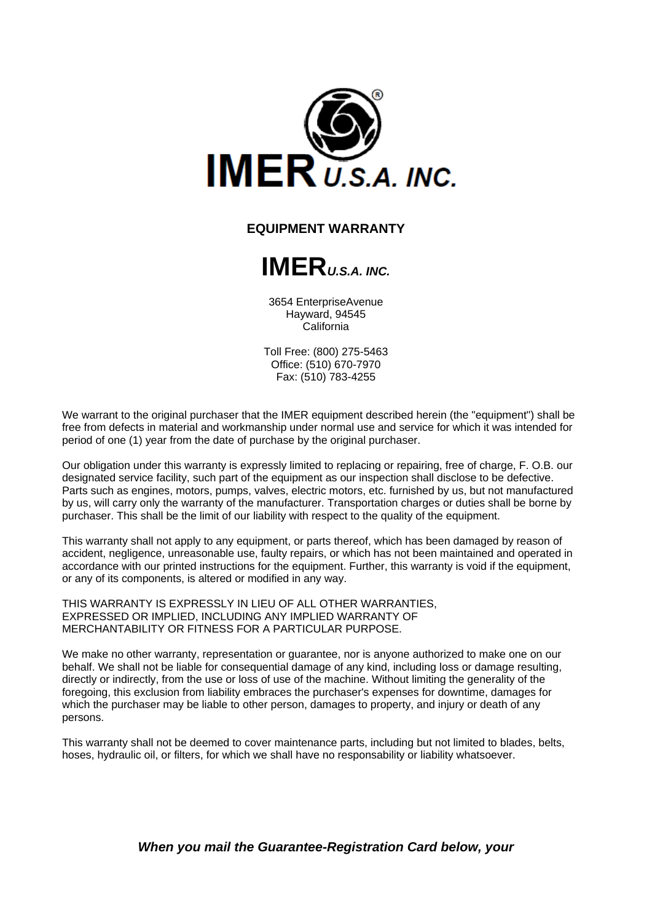

#### **EQUIPMENT WARRANTY**



3654 EnterpriseAvenue Hayward, 94545 California

Toll Free: (800) 275-5463 Office: (510) 670-7970 Fax: (510) 783-4255

We warrant to the original purchaser that the IMER equipment described herein (the "equipment") shall be free from defects in material and workmanship under normal use and service for which it was intended for period of one (1) year from the date of purchase by the original purchaser.

Our obligation under this warranty is expressly limited to replacing or repairing, free of charge, F. O.B. our designated service facility, such part of the equipment as our inspection shall disclose to be defective. Parts such as engines, motors, pumps, valves, electric motors, etc. furnished by us, but not manufactured by us, will carry only the warranty of the manufacturer. Transportation charges or duties shall be borne by purchaser. This shall be the limit of our liability with respect to the quality of the equipment.

This warranty shall not apply to any equipment, or parts thereof, which has been damaged by reason of accident, negligence, unreasonable use, faulty repairs, or which has not been maintained and operated in accordance with our printed instructions for the equipment. Further, this warranty is void if the equipment, or any of its components, is altered or modified in any way.

THIS WARRANTY IS EXPRESSLY IN LIEU OF ALL OTHER WARRANTIES, EXPRESSED OR IMPLIED, INCLUDING ANY IMPLIED WARRANTY OF MERCHANTABILITY OR FITNESS FOR A PARTICULAR PURPOSE.

We make no other warranty, representation or guarantee, nor is anyone authorized to make one on our behalf. We shall not be liable for consequential damage of any kind, including loss or damage resulting, directly or indirectly, from the use or loss of use of the machine. Without limiting the generality of the foregoing, this exclusion from liability embraces the purchaser's expenses for downtime, damages for which the purchaser may be liable to other person, damages to property, and injury or death of any persons.

This warranty shall not be deemed to cover maintenance parts, including but not limited to blades, belts, hoses, hydraulic oil, or filters, for which we shall have no responsability or liability whatsoever.

*When you mail the Guarantee-Registration Card below, your*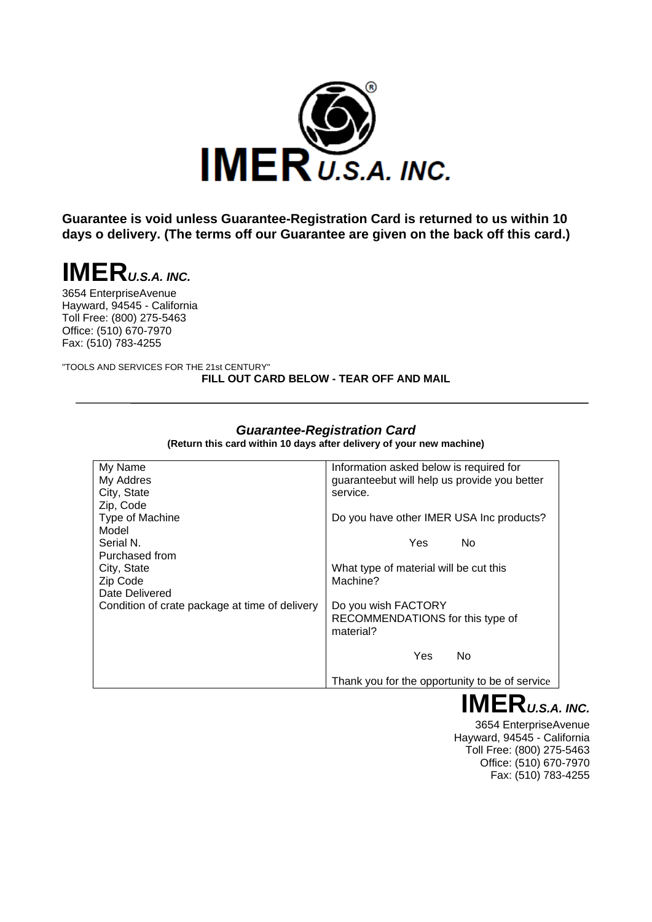

**Guarantee is void unless Guarantee-Registration Card is returned to us within 10 days o delivery. (The terms off our Guarantee are given on the back off this card.)**

# **IMER***U.S.A. INC.*

3654 EnterpriseAvenue Hayward, 94545 - California Toll Free: (800) 275-5463 Office: (510) 670-7970 Fax: (510) 783-4255

"TOOLS AND SERVICES FOR THE 21st CENTURY" **FILL OUT CARD BELOW - TEAR OFF AND MAIL**

| My Name                                        | Information asked below is required for        |
|------------------------------------------------|------------------------------------------------|
| My Addres                                      | guaranteebut will help us provide you better   |
| City, State                                    | service.                                       |
| Zip, Code                                      |                                                |
| Type of Machine                                | Do you have other IMER USA Inc products?       |
| Model                                          |                                                |
| Serial N.                                      | Yes<br>No.                                     |
| Purchased from                                 |                                                |
| City, State                                    | What type of material will be cut this         |
| Zip Code                                       | Machine?                                       |
| Date Delivered                                 |                                                |
| Condition of crate package at time of delivery | Do you wish FACTORY                            |
|                                                | RECOMMENDATIONS for this type of               |
|                                                | material?                                      |
|                                                |                                                |
|                                                | Yes<br>No                                      |
|                                                |                                                |
|                                                |                                                |
|                                                | Thank you for the opportunity to be of service |

*Guarantee-Registration Card* **(Return this card within 10 days after delivery of your new machine)**

**IMER***U.S.A. INC.*

3654 EnterpriseAvenue Hayward, 94545 - California Toll Free: (800) 275-5463 Office: (510) 670-7970 Fax: (510) 783-4255